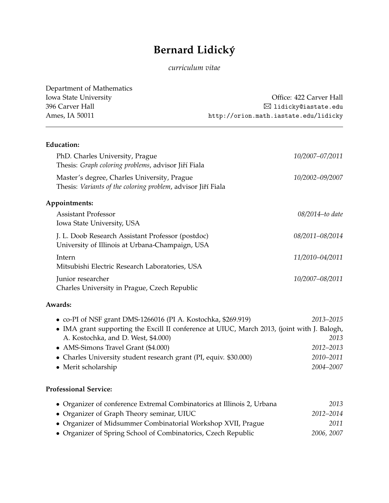# **Bernard Lidicky´**

## *curriculum vitae*

| Department of Mathematics                                                                                                          |                                       |  |
|------------------------------------------------------------------------------------------------------------------------------------|---------------------------------------|--|
| Iowa State University                                                                                                              | Office: 422 Carver Hall               |  |
| 396 Carver Hall                                                                                                                    | $\boxtimes$ lidicky@iastate.edu       |  |
| Ames, IA 50011                                                                                                                     | http://orion.math.iastate.edu/lidicky |  |
| <b>Education:</b>                                                                                                                  |                                       |  |
| PhD. Charles University, Prague<br>Thesis: Graph coloring problems, advisor Jiří Fiala                                             | 10/2007-07/2011                       |  |
| Master's degree, Charles University, Prague<br>Thesis: Variants of the coloring problem, advisor Jiří Fiala                        | 10/2002-09/2007                       |  |
| Appointments:                                                                                                                      |                                       |  |
| <b>Assistant Professor</b><br>Iowa State University, USA                                                                           | 08/2014-to date                       |  |
| J. L. Doob Research Assistant Professor (postdoc)<br>University of Illinois at Urbana-Champaign, USA                               | 08/2011-08/2014                       |  |
| Intern<br>Mitsubishi Electric Research Laboratories, USA                                                                           | 11/2010-04/2011                       |  |
| Junior researcher<br>Charles University in Prague, Czech Republic                                                                  | 10/2007-08/2011                       |  |
| Awards:                                                                                                                            |                                       |  |
| • co-PI of NSF grant DMS-1266016 (PI A. Kostochka, \$269.919)                                                                      | 2013-2015                             |  |
| • IMA grant supporting the Excill II conference at UIUC, March 2013, (joint with J. Balogh,<br>A. Kostochka, and D. West, \$4.000) | 2013                                  |  |
| • AMS-Simons Travel Grant (\$4.000)                                                                                                | 2012-2013                             |  |
| • Charles University student research grant (PI, equiv. \$30.000)                                                                  | 2010-2011                             |  |
| • Merit scholarship                                                                                                                | 2004-2007                             |  |

## **Professional Service:**

| • Organizer of conference Extremal Combinatorics at Illinois 2, Urbana | 2013       |
|------------------------------------------------------------------------|------------|
| • Organizer of Graph Theory seminar, UIUC                              | 2012–2014  |
| • Organizer of Midsummer Combinatorial Workshop XVII, Prague           | 2011       |
| • Organizer of Spring School of Combinatorics, Czech Republic          | 2006, 2007 |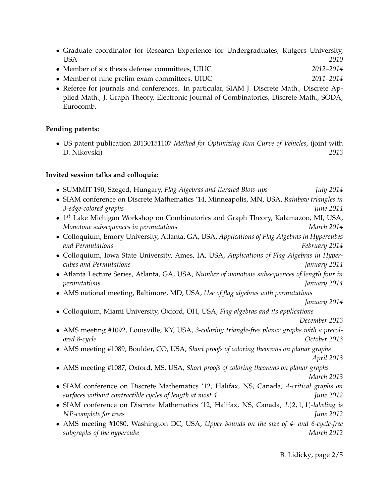- Graduate coordinator for Research Experience for Undergraduates, Rutgers University, USA *2010*
- Member of six thesis defense committees, UIUC *2012–2014*
- Member of nine prelim exam committees, UIUC *2011–2014*
- Referee for journals and conferences. In particular, SIAM J. Discrete Math., Discrete Applied Math., J. Graph Theory, Electronic Journal of Combinatorics, Discrete Math., SODA, Eurocomb.

#### **Pending patents:**

• US patent publication 20130151107 *Method for Optimizing Run Curve of Vehicles*, (joint with D. Nikovski) *2013*

#### **Invited session talks and colloquia:**

| • SUMMIT 190, Szeged, Hungary, Flag Algebras and Iterated Blow-ups                        | <i>July</i> 2014 |
|-------------------------------------------------------------------------------------------|------------------|
| • SIAM conference on Discrete Mathematics '14, Minneapolis, MN, USA, Rainbow triangles in |                  |

- *3-edge-colored graphs June 2014*
- 1 *st* Lake Michigan Workshop on Combinatorics and Graph Theory, Kalamazoo, MI, USA, *Monotone subsequences in permutations* March 2014
- Colloquium, Emory University, Atlanta, GA, USA, *Applications of Flag Algebras in Hypercubes and Permutations February 2014*
- Colloquium, Iowa State University, Ames, IA, USA, *Applications of Flag Algebras in Hypercubes and Permutations January 2014*
- Atlanta Lecture Series, Atlanta, GA, USA, *Number of monotone subsequences of length four in permutations January 2014*
- AMS national meeting, Baltimore, MD, USA, *Use of flag algebras with permutations*
- *January 2014* • Colloquium, Miami University, Oxford, OH, USA, *Flag algebras and its applications December 2013*
- AMS meeting #1092, Louisville, KY, USA, *3-coloring triangle-free planar graphs with a precolored 8-cycle October 2013*
- AMS meeting #1089, Boulder, CO, USA, *Short proofs of coloring theorems on planar graphs April 2013*
- AMS meeting #1087, Oxford, MS, USA, *Short proofs of coloring theorems on planar graphs*
	- *March 2013*
- SIAM conference on Discrete Mathematics '12, Halifax, NS, Canada, *4-critical graphs on surfaces without contractible cycles of length at most 4 June 2012*
- SIAM conference on Discrete Mathematics '12, Halifax, NS, Canada, *L*(2, 1, 1)*-labeling is NP-complete for trees June 2012*
- AMS meeting #1080, Washington DC, USA, *Upper bounds on the size of 4- and 6-cycle-free subgraphs of the hypercube* March 2012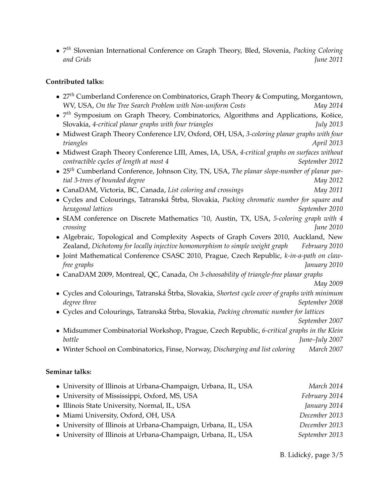• 7 *th* Slovenian International Conference on Graph Theory, Bled, Slovenia, *Packing Coloring and Grids June 2011*

#### **Contributed talks:**

| • $27th$ Cumberland Conference on Combinatorics, Graph Theory & Computing, Morgantown, |          |
|----------------------------------------------------------------------------------------|----------|
| WV, USA, On the Tree Search Problem with Non-uniform Costs                             | May 2014 |

- 7<sup>th</sup> Symposium on Graph Theory, Combinatorics, Algorithms and Applications, Košice, Slovakia, *4-critical planar graphs with four triangles July 2013*
- Midwest Graph Theory Conference LIV, Oxford, OH, USA, *3-coloring planar graphs with four triangles April 2013*
- Midwest Graph Theory Conference LIII, Ames, IA, USA, *4-critical graphs on surfaces without contractible cycles of length at most 4* September 2012
- 25*th* Cumberland Conference, Johnson City, TN, USA, *The planar slope-number of planar partial 3-trees of bounded degree* May 2012
- CanaDAM, Victoria, BC, Canada, *List coloring and crossings May 2011*
- Cycles and Colourings, Tatranská Štrba, Slovakia, Packing chromatic number for square and *hexagonal lattices September 2010*
- SIAM conference on Discrete Mathematics '10, Austin, TX, USA, *5-coloring graph with 4 crossing June 2010*
- Algebraic, Topological and Complexity Aspects of Graph Covers 2010, Auckland, New Zealand, *Dichotomy for locally injective homomorphism to simple weight graph February 2010*
- Joint Mathematical Conference CSASC 2010, Prague, Czech Republic, *k-in-a-path on clawfree graphs January 2010*
- CanaDAM 2009, Montreal, QC, Canada, *On 3-choosability of triangle-free planar graphs*

*May 2009*

- Cycles and Colourings, Tatranská Štrba, Slovakia, Shortest cycle cover of graphs with minimum *degree three* September 2008
- Cycles and Colourings, Tatranská Štrba, Slovakia, *Packing chromatic number for lattices*

*September 2007*

- Midsummer Combinatorial Workshop, Prague, Czech Republic, *6-critical graphs in the Klein bottle June–July 2007*
- Winter School on Combinatorics, Finse, Norway, *Discharging and list coloring March 2007*

### **Seminar talks:**

| • University of Illinois at Urbana-Champaign, Urbana, IL, USA | March 2014     |
|---------------------------------------------------------------|----------------|
| • University of Mississippi, Oxford, MS, USA                  | February 2014  |
| • Illinois State University, Normal, IL, USA                  | January 2014   |
| • Miami University, Oxford, OH, USA                           | December 2013  |
| • University of Illinois at Urbana-Champaign, Urbana, IL, USA | December 2013  |
| • University of Illinois at Urbana-Champaign, Urbana, IL, USA | September 2013 |

B. Lidicky, page 3[/5](#page-4-0) ´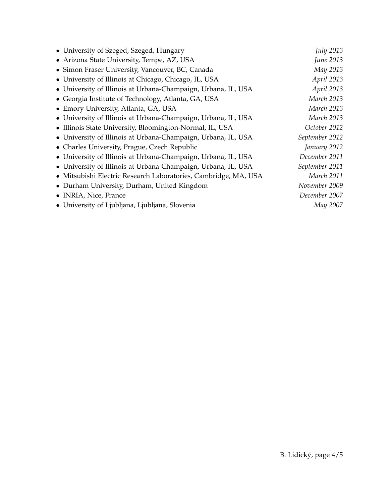| • University of Szeged, Szeged, Hungary                         | <b>July 2013</b> |
|-----------------------------------------------------------------|------------------|
| • Arizona State University, Tempe, AZ, USA                      | June 2013        |
| • Simon Fraser University, Vancouver, BC, Canada                | May 2013         |
| • University of Illinois at Chicago, Chicago, IL, USA           | April 2013       |
| • University of Illinois at Urbana-Champaign, Urbana, IL, USA   | April 2013       |
| • Georgia Institute of Technology, Atlanta, GA, USA             | March 2013       |
| • Emory University, Atlanta, GA, USA                            | March 2013       |
| • University of Illinois at Urbana-Champaign, Urbana, IL, USA   | March 2013       |
| • Illinois State University, Bloomington-Normal, IL, USA        | October 2012     |
| • University of Illinois at Urbana-Champaign, Urbana, IL, USA   | September 2012   |
| • Charles University, Prague, Czech Republic                    | January 2012     |
| • University of Illinois at Urbana-Champaign, Urbana, IL, USA   | December 2011    |
| · University of Illinois at Urbana-Champaign, Urbana, IL, USA   | September 2011   |
| · Mitsubishi Electric Research Laboratories, Cambridge, MA, USA | March 2011       |
| • Durham University, Durham, United Kingdom                     | November 2009    |
| • INRIA, Nice, France                                           | December 2007    |
| • University of Ljubljana, Ljubljana, Slovenia                  | May 2007         |
|                                                                 |                  |